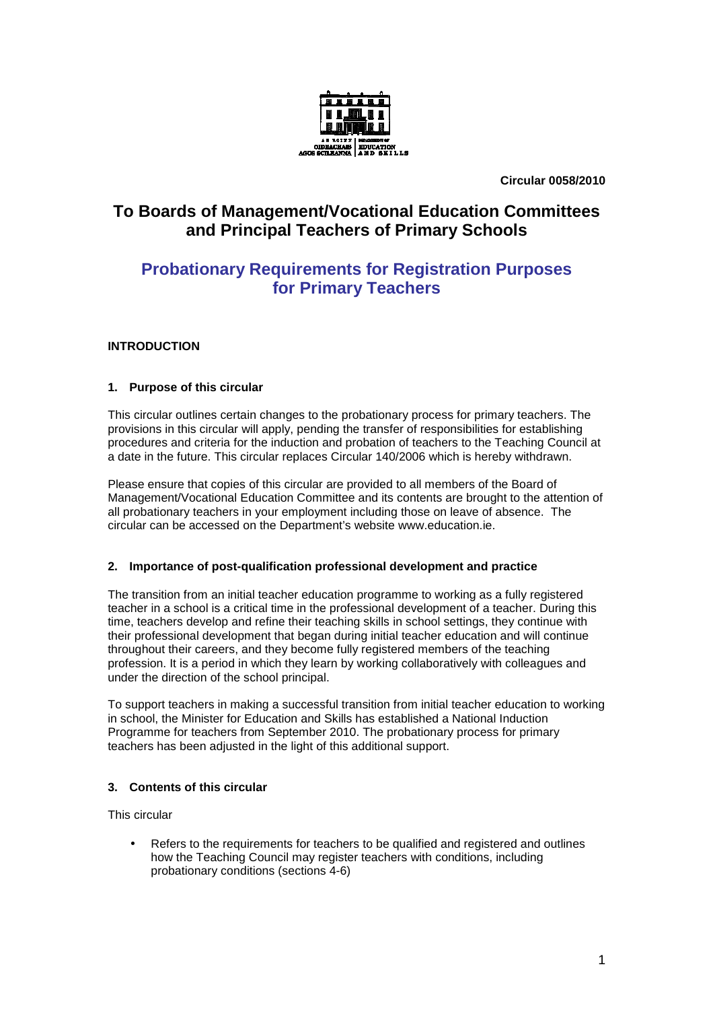

**Circular 0058/2010** 

# **To Boards of Management/Vocational Education Committees and Principal Teachers of Primary Schools**

# **Probationary Requirements for Registration Purposes for Primary Teachers**

# **INTRODUCTION**

## **1. Purpose of this circular**

This circular outlines certain changes to the probationary process for primary teachers. The provisions in this circular will apply, pending the transfer of responsibilities for establishing procedures and criteria for the induction and probation of teachers to the Teaching Council at a date in the future. This circular replaces Circular 140/2006 which is hereby withdrawn.

Please ensure that copies of this circular are provided to all members of the Board of Management/Vocational Education Committee and its contents are brought to the attention of all probationary teachers in your employment including those on leave of absence. The circular can be accessed on the Department's website www.education.ie.

## **2. Importance of post-qualification professional development and practice**

The transition from an initial teacher education programme to working as a fully registered teacher in a school is a critical time in the professional development of a teacher. During this time, teachers develop and refine their teaching skills in school settings, they continue with their professional development that began during initial teacher education and will continue throughout their careers, and they become fully registered members of the teaching profession. It is a period in which they learn by working collaboratively with colleagues and under the direction of the school principal.

To support teachers in making a successful transition from initial teacher education to working in school, the Minister for Education and Skills has established a National Induction Programme for teachers from September 2010. The probationary process for primary teachers has been adjusted in the light of this additional support.

# **3. Contents of this circular**

This circular

Refers to the requirements for teachers to be qualified and registered and outlines how the Teaching Council may register teachers with conditions, including probationary conditions (sections 4-6)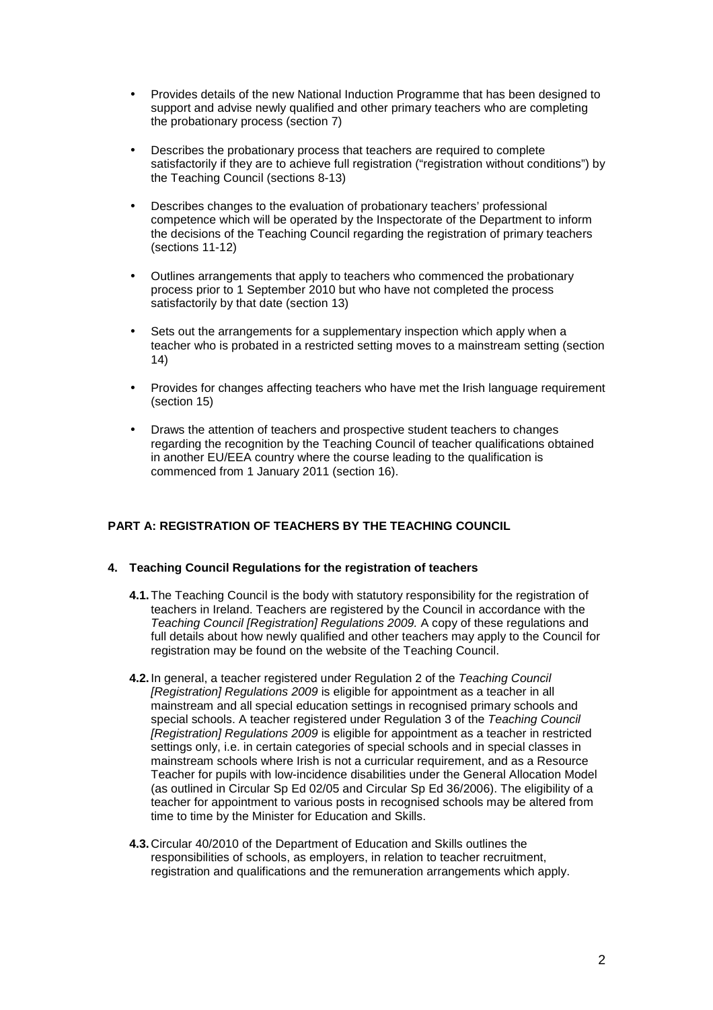- Provides details of the new National Induction Programme that has been designed to support and advise newly qualified and other primary teachers who are completing the probationary process (section 7)
- Describes the probationary process that teachers are required to complete satisfactorily if they are to achieve full registration ("registration without conditions") by the Teaching Council (sections 8-13)
- Describes changes to the evaluation of probationary teachers' professional competence which will be operated by the Inspectorate of the Department to inform the decisions of the Teaching Council regarding the registration of primary teachers (sections 11-12)
- Outlines arrangements that apply to teachers who commenced the probationary process prior to 1 September 2010 but who have not completed the process satisfactorily by that date (section 13)
- Sets out the arrangements for a supplementary inspection which apply when a teacher who is probated in a restricted setting moves to a mainstream setting (section 14)
- Provides for changes affecting teachers who have met the Irish language requirement (section 15)
- Draws the attention of teachers and prospective student teachers to changes regarding the recognition by the Teaching Council of teacher qualifications obtained in another EU/EEA country where the course leading to the qualification is commenced from 1 January 2011 (section 16).

# **PART A: REGISTRATION OF TEACHERS BY THE TEACHING COUNCIL**

## **4. Teaching Council Regulations for the registration of teachers**

- **4.1.** The Teaching Council is the body with statutory responsibility for the registration of teachers in Ireland. Teachers are registered by the Council in accordance with the Teaching Council [Registration] Regulations 2009. A copy of these regulations and full details about how newly qualified and other teachers may apply to the Council for registration may be found on the website of the Teaching Council.
- **4.2.** In general, a teacher registered under Regulation 2 of the Teaching Council [Registration] Regulations 2009 is eligible for appointment as a teacher in all mainstream and all special education settings in recognised primary schools and special schools. A teacher registered under Regulation 3 of the Teaching Council [Registration] Regulations 2009 is eligible for appointment as a teacher in restricted settings only, i.e. in certain categories of special schools and in special classes in mainstream schools where Irish is not a curricular requirement, and as a Resource Teacher for pupils with low-incidence disabilities under the General Allocation Model (as outlined in Circular Sp Ed 02/05 and Circular Sp Ed 36/2006). The eligibility of a teacher for appointment to various posts in recognised schools may be altered from time to time by the Minister for Education and Skills.
- **4.3.** Circular 40/2010 of the Department of Education and Skills outlines the responsibilities of schools, as employers, in relation to teacher recruitment, registration and qualifications and the remuneration arrangements which apply.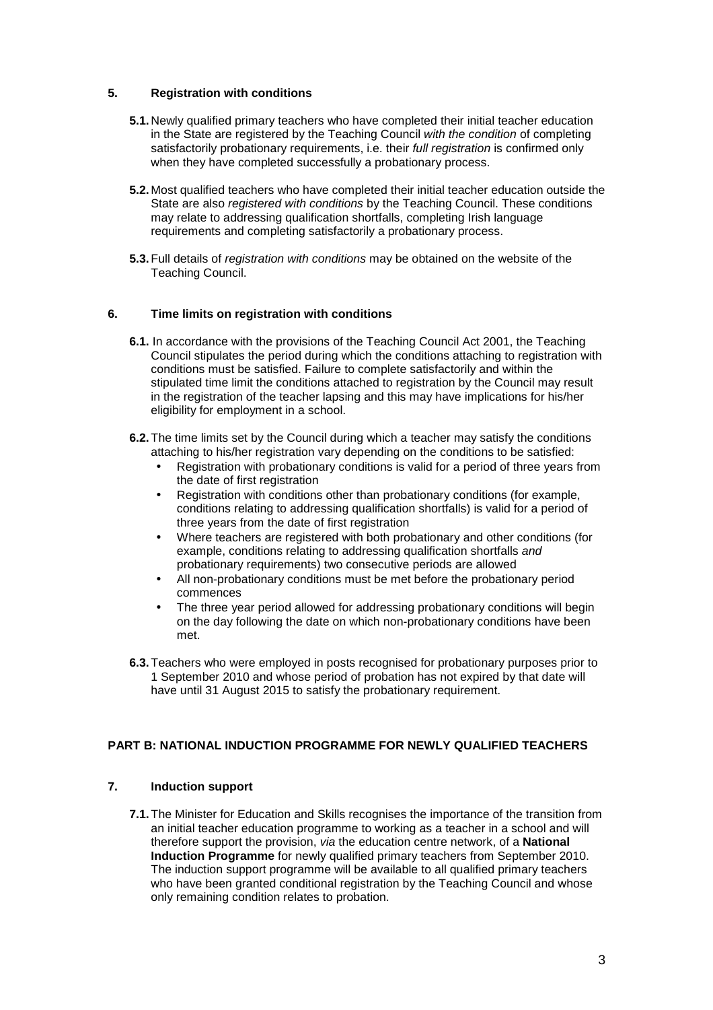## **5. Registration with conditions**

- **5.1.** Newly qualified primary teachers who have completed their initial teacher education in the State are registered by the Teaching Council with the condition of completing satisfactorily probationary requirements, i.e. their *full registration* is confirmed only when they have completed successfully a probationary process.
- **5.2.** Most qualified teachers who have completed their initial teacher education outside the State are also registered with conditions by the Teaching Council. These conditions may relate to addressing qualification shortfalls, completing Irish language requirements and completing satisfactorily a probationary process.
- **5.3.** Full details of registration with conditions may be obtained on the website of the Teaching Council.

## **6. Time limits on registration with conditions**

- **6.1.** In accordance with the provisions of the Teaching Council Act 2001, the Teaching Council stipulates the period during which the conditions attaching to registration with conditions must be satisfied. Failure to complete satisfactorily and within the stipulated time limit the conditions attached to registration by the Council may result in the registration of the teacher lapsing and this may have implications for his/her eligibility for employment in a school.
- **6.2.** The time limits set by the Council during which a teacher may satisfy the conditions attaching to his/her registration vary depending on the conditions to be satisfied:
	- Registration with probationary conditions is valid for a period of three years from the date of first registration
	- Registration with conditions other than probationary conditions (for example, conditions relating to addressing qualification shortfalls) is valid for a period of three years from the date of first registration
	- Where teachers are registered with both probationary and other conditions (for example, conditions relating to addressing qualification shortfalls and probationary requirements) two consecutive periods are allowed
	- All non-probationary conditions must be met before the probationary period commences
	- The three year period allowed for addressing probationary conditions will begin on the day following the date on which non-probationary conditions have been met.
- **6.3.** Teachers who were employed in posts recognised for probationary purposes prior to 1 September 2010 and whose period of probation has not expired by that date will have until 31 August 2015 to satisfy the probationary requirement.

# **PART B: NATIONAL INDUCTION PROGRAMME FOR NEWLY QUALIFIED TEACHERS**

## **7. Induction support**

**7.1.** The Minister for Education and Skills recognises the importance of the transition from an initial teacher education programme to working as a teacher in a school and will therefore support the provision, via the education centre network, of a **National Induction Programme** for newly qualified primary teachers from September 2010. The induction support programme will be available to all qualified primary teachers who have been granted conditional registration by the Teaching Council and whose only remaining condition relates to probation.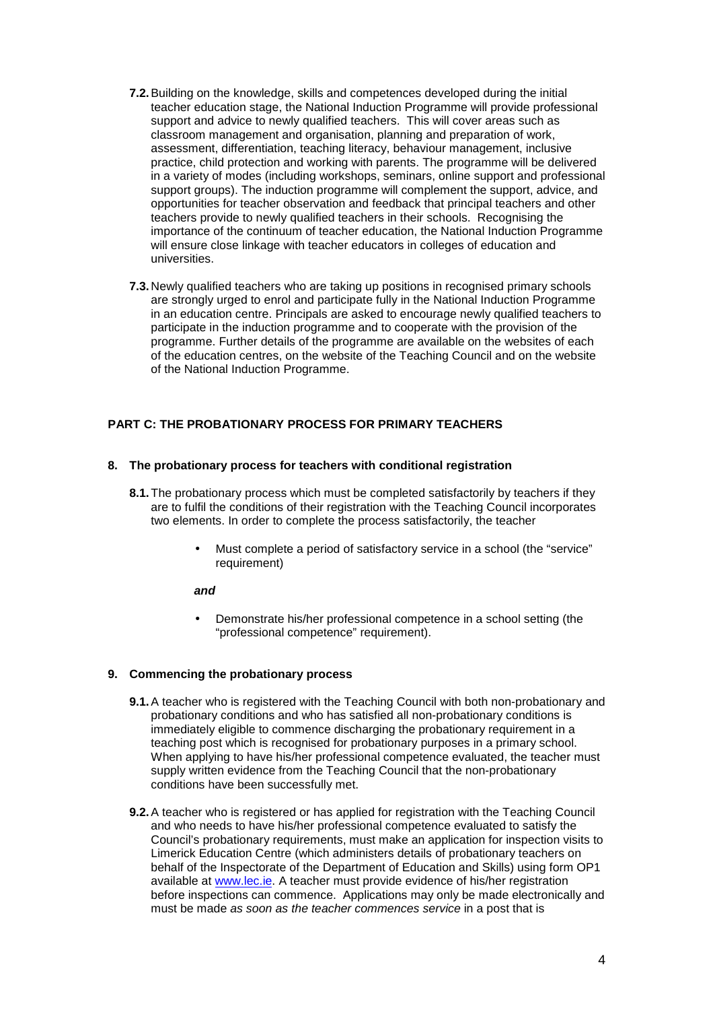- **7.2.** Building on the knowledge, skills and competences developed during the initial teacher education stage, the National Induction Programme will provide professional support and advice to newly qualified teachers. This will cover areas such as classroom management and organisation, planning and preparation of work, assessment, differentiation, teaching literacy, behaviour management, inclusive practice, child protection and working with parents. The programme will be delivered in a variety of modes (including workshops, seminars, online support and professional support groups). The induction programme will complement the support, advice, and opportunities for teacher observation and feedback that principal teachers and other teachers provide to newly qualified teachers in their schools. Recognising the importance of the continuum of teacher education, the National Induction Programme will ensure close linkage with teacher educators in colleges of education and universities.
- **7.3.** Newly qualified teachers who are taking up positions in recognised primary schools are strongly urged to enrol and participate fully in the National Induction Programme in an education centre. Principals are asked to encourage newly qualified teachers to participate in the induction programme and to cooperate with the provision of the programme. Further details of the programme are available on the websites of each of the education centres, on the website of the Teaching Council and on the website of the National Induction Programme.

## **PART C: THE PROBATIONARY PROCESS FOR PRIMARY TEACHERS**

## **8. The probationary process for teachers with conditional registration**

- **8.1.** The probationary process which must be completed satisfactorily by teachers if they are to fulfil the conditions of their registration with the Teaching Council incorporates two elements. In order to complete the process satisfactorily, the teacher
	- Must complete a period of satisfactory service in a school (the "service" requirement)

#### **and**

• Demonstrate his/her professional competence in a school setting (the "professional competence" requirement).

#### **9. Commencing the probationary process**

- **9.1.** A teacher who is registered with the Teaching Council with both non-probationary and probationary conditions and who has satisfied all non-probationary conditions is immediately eligible to commence discharging the probationary requirement in a teaching post which is recognised for probationary purposes in a primary school. When applying to have his/her professional competence evaluated, the teacher must supply written evidence from the Teaching Council that the non-probationary conditions have been successfully met.
- **9.2.** A teacher who is registered or has applied for registration with the Teaching Council and who needs to have his/her professional competence evaluated to satisfy the Council's probationary requirements, must make an application for inspection visits to Limerick Education Centre (which administers details of probationary teachers on behalf of the Inspectorate of the Department of Education and Skills) using form OP1 available at www.lec.ie. A teacher must provide evidence of his/her registration before inspections can commence. Applications may only be made electronically and must be made as soon as the teacher commences service in a post that is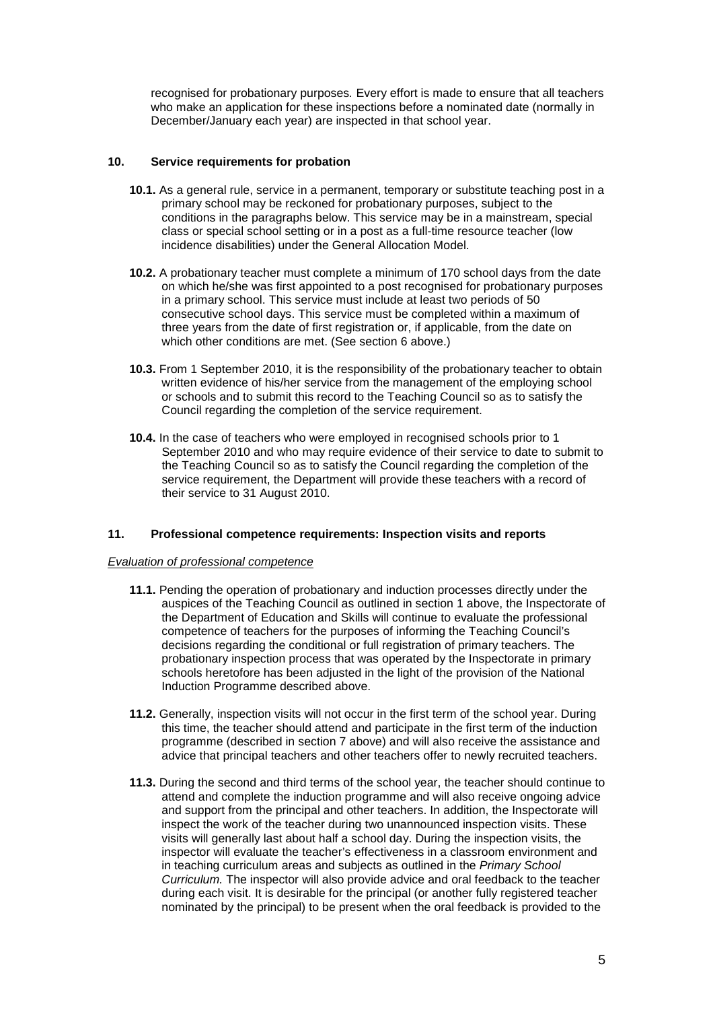recognised for probationary purposes. Every effort is made to ensure that all teachers who make an application for these inspections before a nominated date (normally in December/January each year) are inspected in that school year.

## **10. Service requirements for probation**

- **10.1.** As a general rule, service in a permanent, temporary or substitute teaching post in a primary school may be reckoned for probationary purposes, subject to the conditions in the paragraphs below. This service may be in a mainstream, special class or special school setting or in a post as a full-time resource teacher (low incidence disabilities) under the General Allocation Model.
- **10.2.** A probationary teacher must complete a minimum of 170 school days from the date on which he/she was first appointed to a post recognised for probationary purposes in a primary school. This service must include at least two periods of 50 consecutive school days. This service must be completed within a maximum of three years from the date of first registration or, if applicable, from the date on which other conditions are met. (See section 6 above.)
- **10.3.** From 1 September 2010, it is the responsibility of the probationary teacher to obtain written evidence of his/her service from the management of the employing school or schools and to submit this record to the Teaching Council so as to satisfy the Council regarding the completion of the service requirement.
- **10.4.** In the case of teachers who were employed in recognised schools prior to 1 September 2010 and who may require evidence of their service to date to submit to the Teaching Council so as to satisfy the Council regarding the completion of the service requirement, the Department will provide these teachers with a record of their service to 31 August 2010.

#### **11. Professional competence requirements: Inspection visits and reports**

#### Evaluation of professional competence

- **11.1.** Pending the operation of probationary and induction processes directly under the auspices of the Teaching Council as outlined in section 1 above, the Inspectorate of the Department of Education and Skills will continue to evaluate the professional competence of teachers for the purposes of informing the Teaching Council's decisions regarding the conditional or full registration of primary teachers. The probationary inspection process that was operated by the Inspectorate in primary schools heretofore has been adjusted in the light of the provision of the National Induction Programme described above.
- **11.2.** Generally, inspection visits will not occur in the first term of the school year. During this time, the teacher should attend and participate in the first term of the induction programme (described in section 7 above) and will also receive the assistance and advice that principal teachers and other teachers offer to newly recruited teachers.
- **11.3.** During the second and third terms of the school year, the teacher should continue to attend and complete the induction programme and will also receive ongoing advice and support from the principal and other teachers. In addition, the Inspectorate will inspect the work of the teacher during two unannounced inspection visits. These visits will generally last about half a school day. During the inspection visits, the inspector will evaluate the teacher's effectiveness in a classroom environment and in teaching curriculum areas and subjects as outlined in the Primary School Curriculum. The inspector will also provide advice and oral feedback to the teacher during each visit. It is desirable for the principal (or another fully registered teacher nominated by the principal) to be present when the oral feedback is provided to the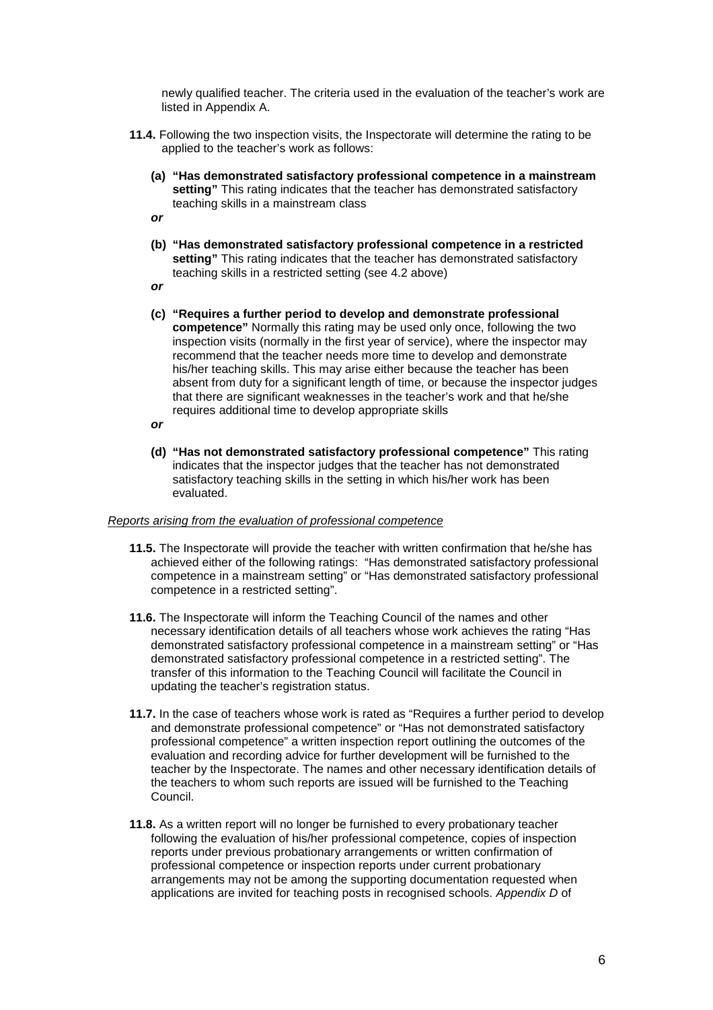newly qualified teacher. The criteria used in the evaluation of the teacher's work are listed in Appendix A.

- **11.4.** Following the two inspection visits, the Inspectorate will determine the rating to be applied to the teacher's work as follows:
	- **(a) "Has demonstrated satisfactory professional competence in a mainstream**  setting" This rating indicates that the teacher has demonstrated satisfactory teaching skills in a mainstream class
	- **or**
	- **(b) "Has demonstrated satisfactory professional competence in a restricted setting**" This rating indicates that the teacher has demonstrated satisfactory teaching skills in a restricted setting (see 4.2 above)
	- **or**
	- **(c) "Requires a further period to develop and demonstrate professional competence"** Normally this rating may be used only once, following the two inspection visits (normally in the first year of service), where the inspector may recommend that the teacher needs more time to develop and demonstrate his/her teaching skills. This may arise either because the teacher has been absent from duty for a significant length of time, or because the inspector judges that there are significant weaknesses in the teacher's work and that he/she requires additional time to develop appropriate skills
	- **or**
	- **(d) "Has not demonstrated satisfactory professional competence"** This rating indicates that the inspector judges that the teacher has not demonstrated satisfactory teaching skills in the setting in which his/her work has been evaluated.

## Reports arising from the evaluation of professional competence

- **11.5.** The Inspectorate will provide the teacher with written confirmation that he/she has achieved either of the following ratings: "Has demonstrated satisfactory professional competence in a mainstream setting" or "Has demonstrated satisfactory professional competence in a restricted setting".
- **11.6.** The Inspectorate will inform the Teaching Council of the names and other necessary identification details of all teachers whose work achieves the rating "Has demonstrated satisfactory professional competence in a mainstream setting" or "Has demonstrated satisfactory professional competence in a restricted setting". The transfer of this information to the Teaching Council will facilitate the Council in updating the teacher's registration status.
- **11.7.** In the case of teachers whose work is rated as "Requires a further period to develop and demonstrate professional competence" or "Has not demonstrated satisfactory professional competence" a written inspection report outlining the outcomes of the evaluation and recording advice for further development will be furnished to the teacher by the Inspectorate. The names and other necessary identification details of the teachers to whom such reports are issued will be furnished to the Teaching Council.
- **11.8.** As a written report will no longer be furnished to every probationary teacher following the evaluation of his/her professional competence, copies of inspection reports under previous probationary arrangements or written confirmation of professional competence or inspection reports under current probationary arrangements may not be among the supporting documentation requested when applications are invited for teaching posts in recognised schools. Appendix D of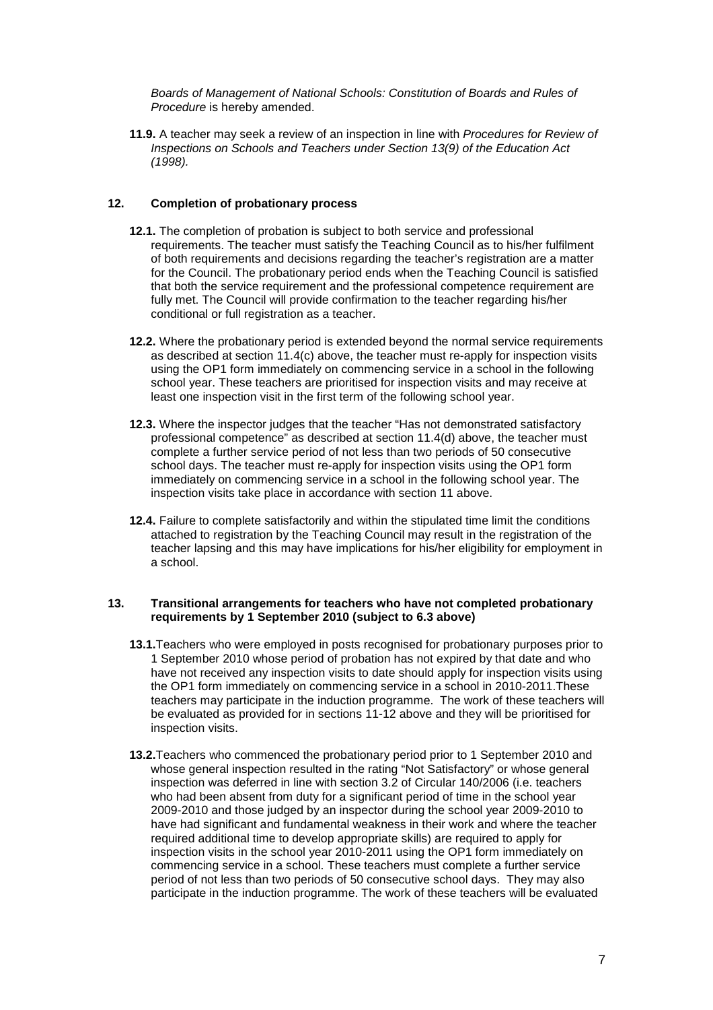Boards of Management of National Schools: Constitution of Boards and Rules of Procedure is hereby amended.

**11.9.** A teacher may seek a review of an inspection in line with Procedures for Review of Inspections on Schools and Teachers under Section 13(9) of the Education Act (1998).

## **12. Completion of probationary process**

- **12.1.** The completion of probation is subject to both service and professional requirements. The teacher must satisfy the Teaching Council as to his/her fulfilment of both requirements and decisions regarding the teacher's registration are a matter for the Council. The probationary period ends when the Teaching Council is satisfied that both the service requirement and the professional competence requirement are fully met. The Council will provide confirmation to the teacher regarding his/her conditional or full registration as a teacher.
- **12.2.** Where the probationary period is extended beyond the normal service requirements as described at section 11.4(c) above, the teacher must re-apply for inspection visits using the OP1 form immediately on commencing service in a school in the following school year. These teachers are prioritised for inspection visits and may receive at least one inspection visit in the first term of the following school year.
- **12.3.** Where the inspector judges that the teacher "Has not demonstrated satisfactory professional competence" as described at section 11.4(d) above, the teacher must complete a further service period of not less than two periods of 50 consecutive school days. The teacher must re-apply for inspection visits using the OP1 form immediately on commencing service in a school in the following school year. The inspection visits take place in accordance with section 11 above.
- **12.4.** Failure to complete satisfactorily and within the stipulated time limit the conditions attached to registration by the Teaching Council may result in the registration of the teacher lapsing and this may have implications for his/her eligibility for employment in a school.

## **13. Transitional arrangements for teachers who have not completed probationary requirements by 1 September 2010 (subject to 6.3 above)**

- **13.1.**Teachers who were employed in posts recognised for probationary purposes prior to 1 September 2010 whose period of probation has not expired by that date and who have not received any inspection visits to date should apply for inspection visits using the OP1 form immediately on commencing service in a school in 2010-2011.These teachers may participate in the induction programme. The work of these teachers will be evaluated as provided for in sections 11-12 above and they will be prioritised for inspection visits.
- **13.2.**Teachers who commenced the probationary period prior to 1 September 2010 and whose general inspection resulted in the rating "Not Satisfactory" or whose general inspection was deferred in line with section 3.2 of Circular 140/2006 (i.e. teachers who had been absent from duty for a significant period of time in the school year 2009-2010 and those judged by an inspector during the school year 2009-2010 to have had significant and fundamental weakness in their work and where the teacher required additional time to develop appropriate skills) are required to apply for inspection visits in the school year 2010-2011 using the OP1 form immediately on commencing service in a school. These teachers must complete a further service period of not less than two periods of 50 consecutive school days. They may also participate in the induction programme. The work of these teachers will be evaluated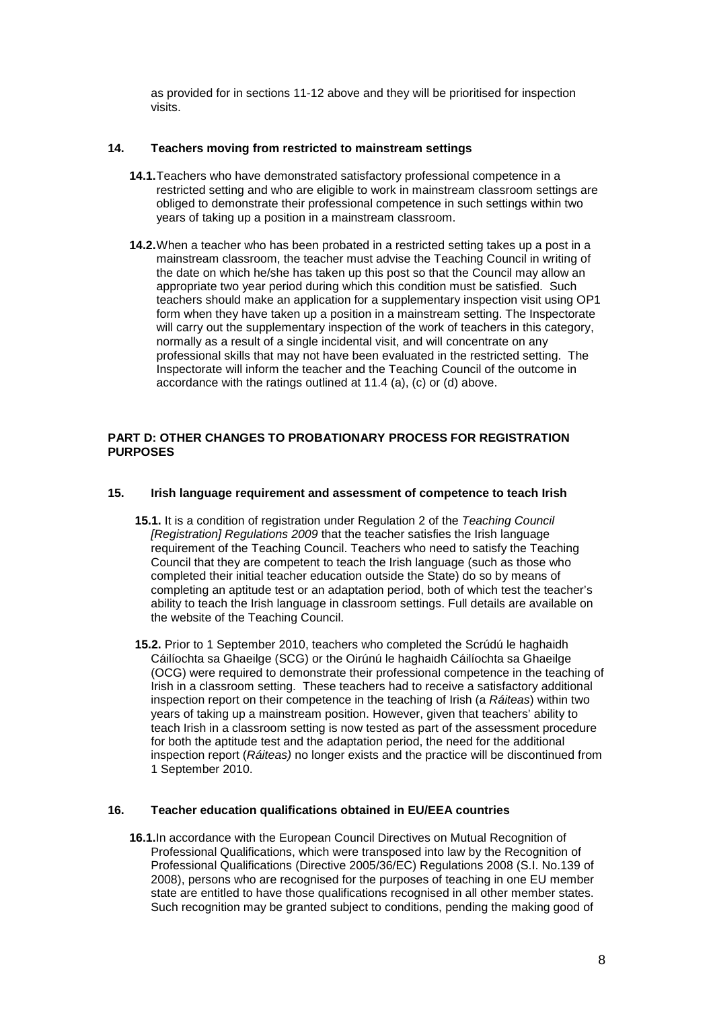as provided for in sections 11-12 above and they will be prioritised for inspection visits.

## **14. Teachers moving from restricted to mainstream settings**

- **14.1.** Teachers who have demonstrated satisfactory professional competence in a restricted setting and who are eligible to work in mainstream classroom settings are obliged to demonstrate their professional competence in such settings within two years of taking up a position in a mainstream classroom.
- **14.2.** When a teacher who has been probated in a restricted setting takes up a post in a mainstream classroom, the teacher must advise the Teaching Council in writing of the date on which he/she has taken up this post so that the Council may allow an appropriate two year period during which this condition must be satisfied. Such teachers should make an application for a supplementary inspection visit using OP1 form when they have taken up a position in a mainstream setting. The Inspectorate will carry out the supplementary inspection of the work of teachers in this category, normally as a result of a single incidental visit, and will concentrate on any professional skills that may not have been evaluated in the restricted setting. The Inspectorate will inform the teacher and the Teaching Council of the outcome in accordance with the ratings outlined at 11.4 (a), (c) or (d) above.

## **PART D: OTHER CHANGES TO PROBATIONARY PROCESS FOR REGISTRATION PURPOSES**

## **15. Irish language requirement and assessment of competence to teach Irish**

- **15.1.** It is a condition of registration under Regulation 2 of the Teaching Council [Registration] Regulations 2009 that the teacher satisfies the Irish language requirement of the Teaching Council. Teachers who need to satisfy the Teaching Council that they are competent to teach the Irish language (such as those who completed their initial teacher education outside the State) do so by means of completing an aptitude test or an adaptation period, both of which test the teacher's ability to teach the Irish language in classroom settings. Full details are available on the website of the Teaching Council.
- **15.2.** Prior to 1 September 2010, teachers who completed the Scrúdú le haghaidh Cáilíochta sa Ghaeilge (SCG) or the Oirúnú le haghaidh Cáilíochta sa Ghaeilge (OCG) were required to demonstrate their professional competence in the teaching of Irish in a classroom setting. These teachers had to receive a satisfactory additional inspection report on their competence in the teaching of Irish (a Ráiteas) within two years of taking up a mainstream position. However, given that teachers' ability to teach Irish in a classroom setting is now tested as part of the assessment procedure for both the aptitude test and the adaptation period, the need for the additional inspection report (Ráiteas) no longer exists and the practice will be discontinued from 1 September 2010.

#### **16. Teacher education qualifications obtained in EU/EEA countries**

**16.1.**In accordance with the European Council Directives on Mutual Recognition of Professional Qualifications, which were transposed into law by the Recognition of Professional Qualifications (Directive 2005/36/EC) Regulations 2008 (S.I. No.139 of 2008), persons who are recognised for the purposes of teaching in one EU member state are entitled to have those qualifications recognised in all other member states. Such recognition may be granted subject to conditions, pending the making good of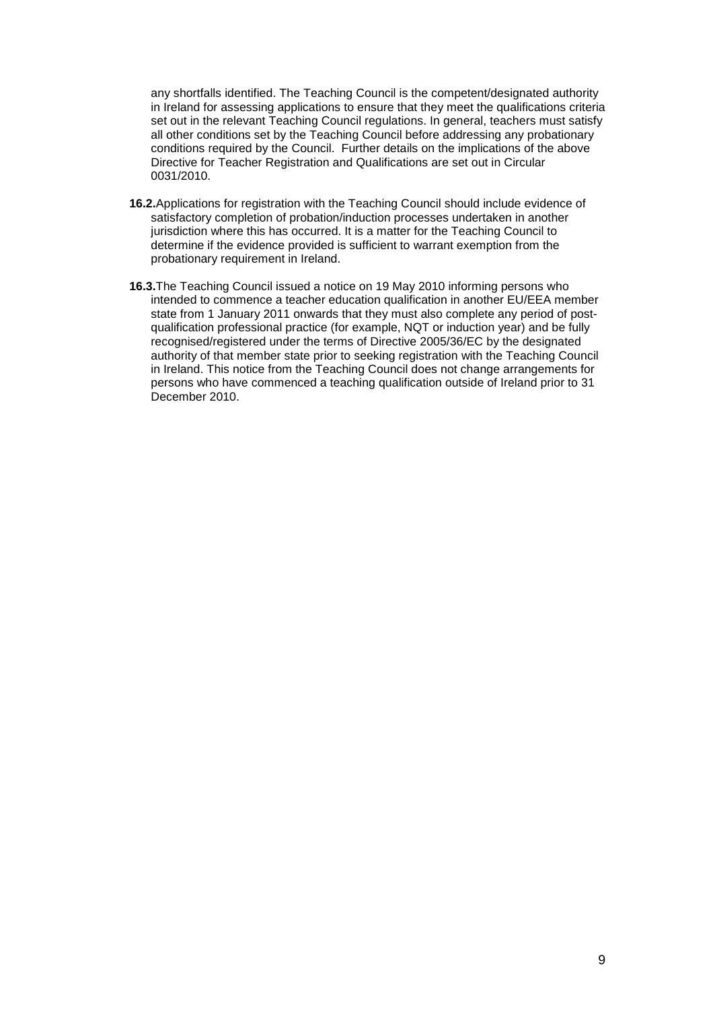any shortfalls identified. The Teaching Council is the competent/designated authority in Ireland for assessing applications to ensure that they meet the qualifications criteria set out in the relevant Teaching Council regulations. In general, teachers must satisfy all other conditions set by the Teaching Council before addressing any probationary conditions required by the Council. Further details on the implications of the above Directive for Teacher Registration and Qualifications are set out in Circular 0031/2010.

- **16.2.**Applications for registration with the Teaching Council should include evidence of satisfactory completion of probation/induction processes undertaken in another jurisdiction where this has occurred. It is a matter for the Teaching Council to determine if the evidence provided is sufficient to warrant exemption from the probationary requirement in Ireland.
- **16.3.**The Teaching Council issued a notice on 19 May 2010 informing persons who intended to commence a teacher education qualification in another EU/EEA member state from 1 January 2011 onwards that they must also complete any period of postqualification professional practice (for example, NQT or induction year) and be fully recognised/registered under the terms of Directive 2005/36/EC by the designated authority of that member state prior to seeking registration with the Teaching Council in Ireland. This notice from the Teaching Council does not change arrangements for persons who have commenced a teaching qualification outside of Ireland prior to 31 December 2010.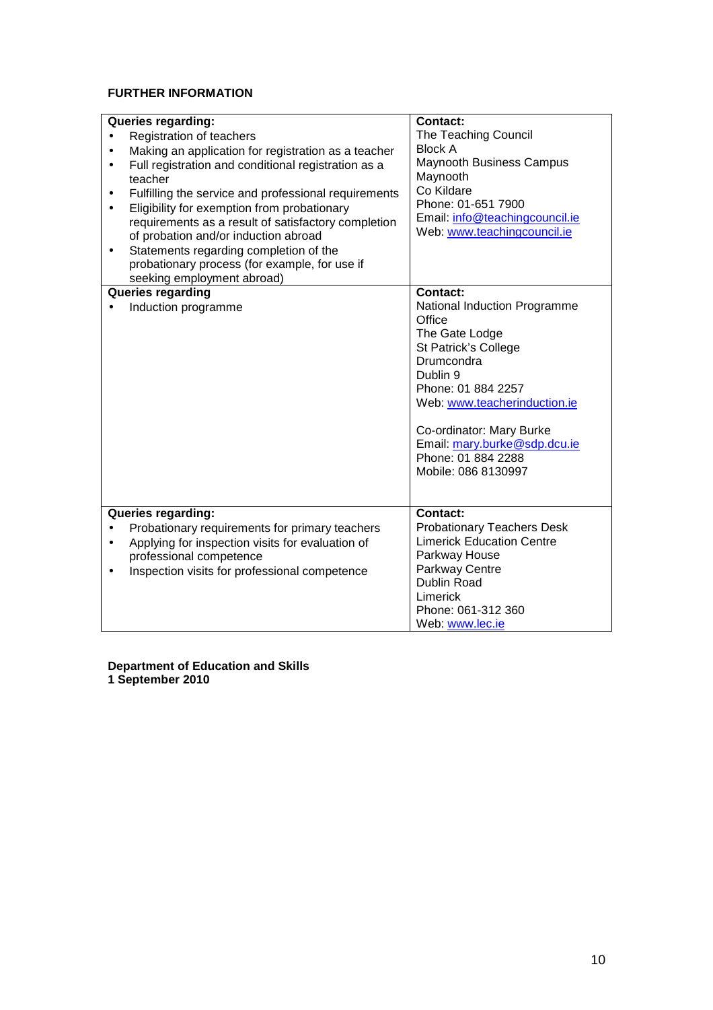# **FURTHER INFORMATION**

|                                                                  | <b>Contact:</b>                   |
|------------------------------------------------------------------|-----------------------------------|
| Queries regarding:                                               | The Teaching Council              |
| Registration of teachers<br>$\bullet$                            | <b>Block A</b>                    |
| Making an application for registration as a teacher<br>$\bullet$ | <b>Maynooth Business Campus</b>   |
| Full registration and conditional registration as a<br>$\bullet$ | Maynooth                          |
| teacher                                                          | Co Kildare                        |
| Fulfilling the service and professional requirements<br>٠        | Phone: 01-651 7900                |
| Eligibility for exemption from probationary<br>$\bullet$         | Email: info@teachingcouncil.ie    |
| requirements as a result of satisfactory completion              |                                   |
| of probation and/or induction abroad                             | Web: www.teachingcouncil.ie       |
| Statements regarding completion of the                           |                                   |
| probationary process (for example, for use if                    |                                   |
| seeking employment abroad)                                       |                                   |
| <b>Queries regarding</b>                                         | <b>Contact:</b>                   |
| Induction programme                                              | National Induction Programme      |
|                                                                  | Office                            |
|                                                                  | The Gate Lodge                    |
|                                                                  | St Patrick's College              |
|                                                                  | Drumcondra                        |
|                                                                  | Dublin 9                          |
|                                                                  | Phone: 01 884 2257                |
|                                                                  | Web: www.teacherinduction.ie      |
|                                                                  |                                   |
|                                                                  | Co-ordinator: Mary Burke          |
|                                                                  | Email: mary.burke@sdp.dcu.ie      |
|                                                                  | Phone: 01 884 2288                |
|                                                                  | Mobile: 086 8130997               |
|                                                                  |                                   |
|                                                                  |                                   |
| Queries regarding:                                               | <b>Contact:</b>                   |
| Probationary requirements for primary teachers                   | <b>Probationary Teachers Desk</b> |
| Applying for inspection visits for evaluation of<br>$\bullet$    | <b>Limerick Education Centre</b>  |
| professional competence                                          | Parkway House                     |
| Inspection visits for professional competence                    | Parkway Centre                    |
|                                                                  | Dublin Road                       |
|                                                                  | Limerick                          |
|                                                                  | Phone: 061-312 360                |
|                                                                  | Web: www.lec.ie                   |

**Department of Education and Skills 1 September 2010**